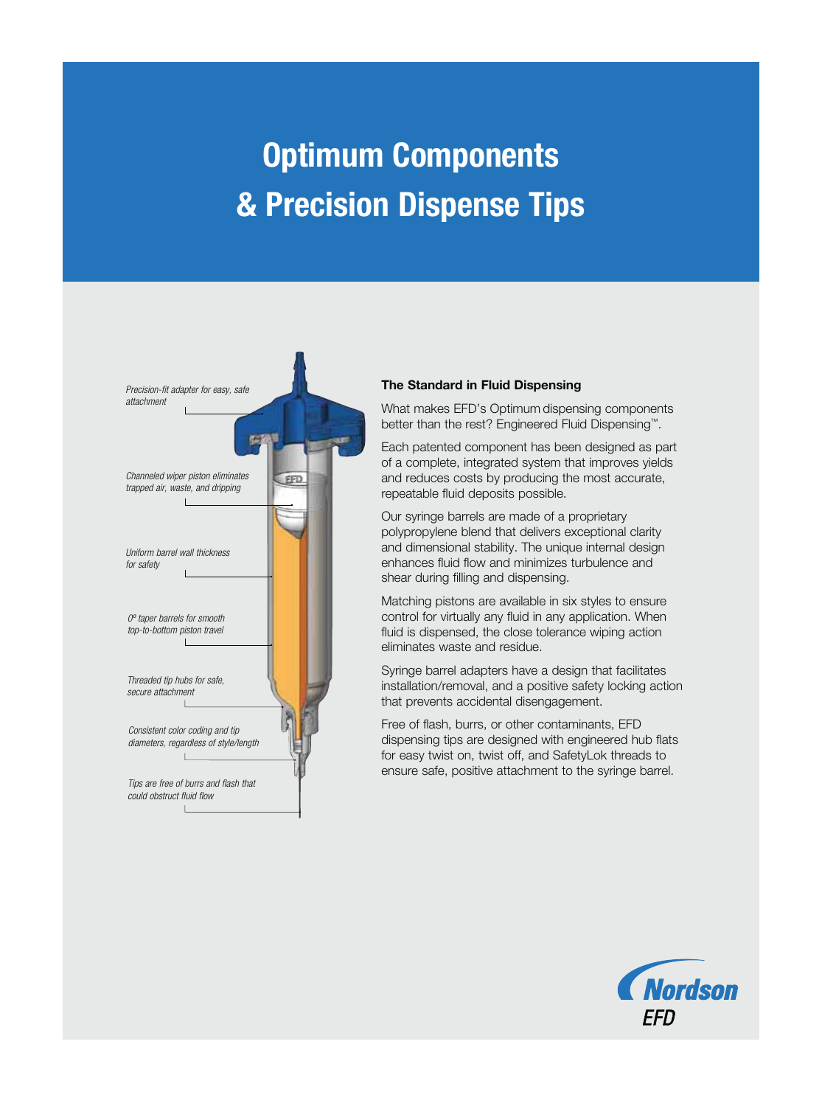# **Optimum Components & Precision Dispense Tips**



#### **The Standard in Fluid Dispensing**

What makes EFD's Optimum dispensing components better than the rest? Engineered Fluid Dispensing™.

Each patented component has been designed as part of a complete, integrated system that improves yields and reduces costs by producing the most accurate, repeatable fluid deposits possible.

Our syringe barrels are made of a proprietary polypropylene blend that delivers exceptional clarity and dimensional stability. The unique internal design enhances fluid flow and minimizes turbulence and shear during filling and dispensing.

Matching pistons are available in six styles to ensure control for virtually any fluid in any application. When fluid is dispensed, the close tolerance wiping action eliminates waste and residue.

Syringe barrel adapters have a design that facilitates installation/removal, and a positive safety locking action that prevents accidental disengagement.

Free of flash, burrs, or other contaminants, EFD dispensing tips are designed with engineered hub flats for easy twist on, twist off, and SafetyLok threads to ensure safe, positive attachment to the syringe barrel.

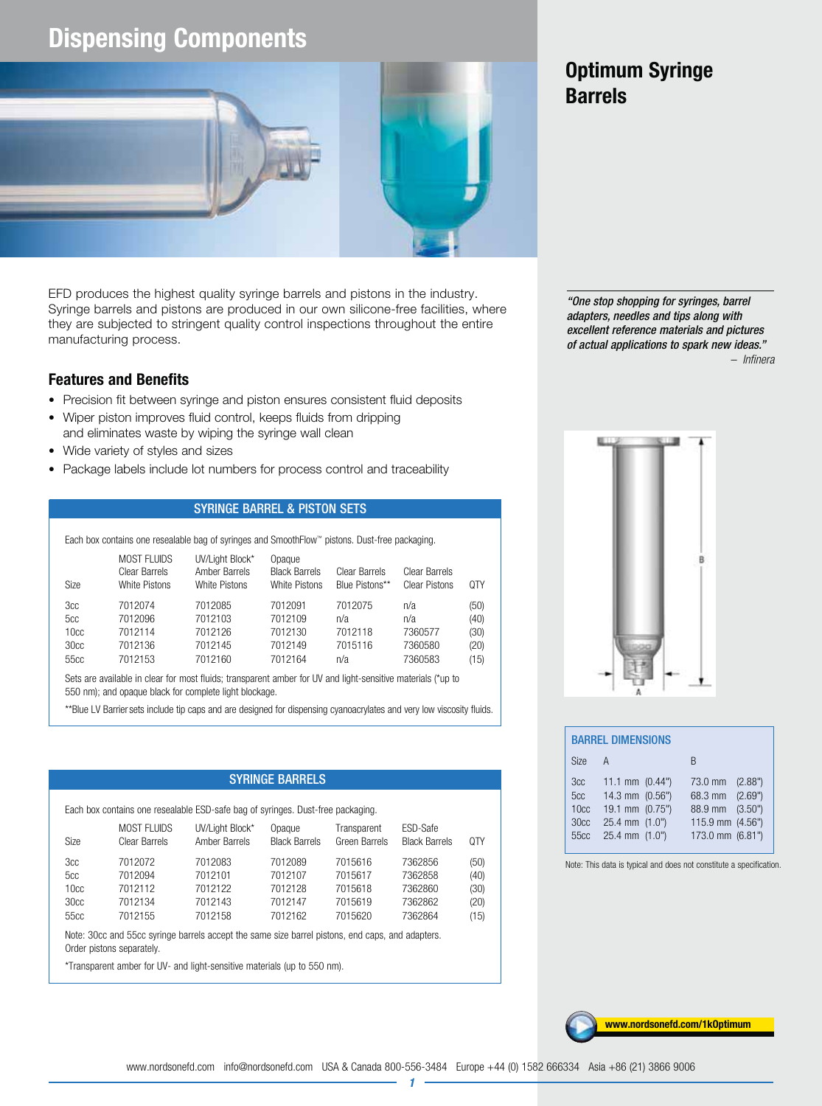## **Dispensing Components**



EFD produces the highest quality syringe barrels and pistons in the industry. Syringe barrels and pistons are produced in our own silicone-free facilities, where they are subjected to stringent quality control inspections throughout the entire manufacturing process.

#### **Features and Benefits**

- Precision fit between syringe and piston ensures consistent fluid deposits
- Wiper piston improves fluid control, keeps fluids from dripping and eliminates waste by wiping the syringe wall clean
- Wide variety of styles and sizes
- Package labels include lot numbers for process control and traceability

#### SYRINGE BARREL & PISTON SETS

Each box contains one resealable bag of syringes and SmoothFlow™ pistons. Dust-free packaging.

| <b>Size</b>      | <b>MOST FLUIDS</b><br>UV/Light Block*<br>Amber Barrels<br>Clear Barrels<br>White Pistons<br>White Pistons |         | Opaque<br><b>Black Barrels</b><br>White Pistons | Clear Barrels<br>Blue Pistons** | Clear Barrels<br><b>Clear Pistons</b> | 0TY  |
|------------------|-----------------------------------------------------------------------------------------------------------|---------|-------------------------------------------------|---------------------------------|---------------------------------------|------|
| 3cc              | 7012074                                                                                                   | 7012085 | 7012091                                         | 7012075                         | n/a                                   | (50) |
| 5cc              | 7012096                                                                                                   | 7012103 | 7012109                                         | n/a                             | n/a                                   | (40) |
| 10 <sub>cc</sub> | 7012114                                                                                                   | 7012126 | 7012130                                         | 7012118                         | 7360577                               | (30) |
| 30 <sub>cc</sub> | 7012136                                                                                                   | 7012145 | 7012149                                         | 7015116                         | 7360580                               | (20) |
| 55cc             | 7012153                                                                                                   | 7012160 | 7012164                                         | n/a                             | 7360583                               | (15) |

Sets are available in clear for most fluids; transparent amber for UV and light-sensitive materials (\*up to 550 nm); and opaque black for complete light blockage.

\*\*Blue LV Barriersets include tip caps and are designed for dispensing cyanoacrylates and very low viscosity fluids.

#### SYRINGE BARRELS

| Each box contains one resealable ESD-safe bag of syringes. Dust-free packaging. |  |  |
|---------------------------------------------------------------------------------|--|--|
|---------------------------------------------------------------------------------|--|--|

| <b>Size</b> | <b>MOST FLUIDS</b><br>Clear Barrels | UV/Light Block*<br>Amber Barrels | Opaque<br><b>Black Barrels</b> | Transparent<br>Green Barrels | ESD-Safe<br><b>Black Barrels</b> | <b>QTY</b> |
|-------------|-------------------------------------|----------------------------------|--------------------------------|------------------------------|----------------------------------|------------|
| 3cc         | 7012072                             | 7012083                          | 7012089                        | 7015616                      | 7362856                          | (50)       |
| 5cc         | 7012094                             | 7012101                          | 7012107                        | 7015617                      | 7362858                          | (40)       |
| 10cc        | 7012112                             | 7012122                          | 7012128                        | 7015618                      | 7362860                          | (30)       |
| 30cc        | 7012134                             | 7012143                          | 7012147                        | 7015619                      | 7362862                          | (20)       |
| 55cc        | 7012155                             | 7012158                          | 7012162                        | 7015620                      | 7362864                          | (15)       |

Note: 30cc and 55cc syringe barrels accept the same size barrel pistons, end caps, and adapters. Order pistons separately.

\*Transparent amber for UV- and light-sensitive materials (up to 550 nm).

## **Optimum Syringe Barrels**

"One stop shopping for syringes, barrel adapters, needles and tips along with excellent reference materials and pictures of actual applications to spark new ideas." – Infinera



|                                                                        | <b>BARREL DIMENSIONS</b>                                                                            |  |                                                                                       |         |  |  |  |  |  |  |  |  |
|------------------------------------------------------------------------|-----------------------------------------------------------------------------------------------------|--|---------------------------------------------------------------------------------------|---------|--|--|--|--|--|--|--|--|
| <b>Size</b>                                                            | $\mathsf{A}$                                                                                        |  | R                                                                                     |         |  |  |  |  |  |  |  |  |
| 3cc<br>5cc<br>10 <sub>cc</sub><br>30 <sub>cc</sub><br>55 <sub>cc</sub> | 11.1 mm $(0.44")$<br>14.3 mm (0.56")<br>19.1 mm (0.75")<br>$25.4$ mm $(1.0")$<br>$25.4$ mm $(1.0")$ |  | 73.0 mm<br>68.3 mm (2.69")<br>88.9 mm (3.50")<br>115.9 mm (4.56")<br>173.0 mm (6.81") | (2.88") |  |  |  |  |  |  |  |  |

Note: This data is typical and does not constitute a specification.



1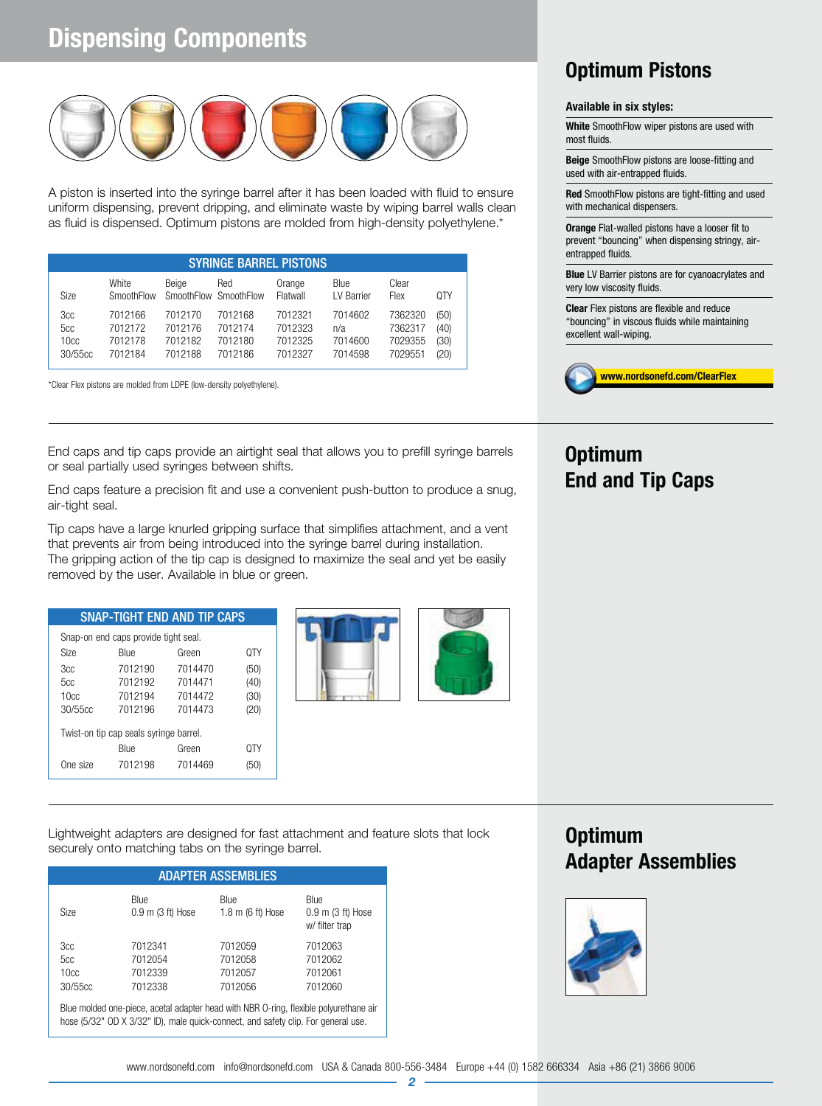## **Dispensing Components**



A piston is inserted into the syringe barrel after it has been loaded with fluid to ensure uniform dispensing, prevent dripping, and eliminate waste by wiping barrel walls clean as fluid is dispensed. Optimum pistons are molded from high-density polyethylene.\*

|                               | <b>SYRINGE BARREL PISTONS</b>            |                                          |                                          |                                          |                                      |                                          |                              |  |  |  |  |  |
|-------------------------------|------------------------------------------|------------------------------------------|------------------------------------------|------------------------------------------|--------------------------------------|------------------------------------------|------------------------------|--|--|--|--|--|
| <b>Size</b>                   | White<br>SmoothFlow                      | Beige                                    | Red<br>SmoothFlow SmoothFlow             | Orange<br>Flatwall                       | Blue<br>LV Barrier                   | Clear<br>Flex                            | 0TY                          |  |  |  |  |  |
| 3cc<br>5cc<br>10cc<br>30/55cc | 7012166<br>7012172<br>7012178<br>7012184 | 7012170<br>7012176<br>7012182<br>7012188 | 7012168<br>7012174<br>7012180<br>7012186 | 7012321<br>7012323<br>7012325<br>7012327 | 7014602<br>n/a<br>7014600<br>7014598 | 7362320<br>7362317<br>7029355<br>7029551 | (50)<br>(40)<br>(30)<br>(20) |  |  |  |  |  |

\*Clear Flex pistons are molded from LDPE (low-density polyethylene).

End caps and tip caps provide an airtight seal that allows you to prefill syringe barrels or seal partially used syringes between shifts.

End caps feature a precision fit and use a convenient push-button to produce a snug, air-tight seal.

Tip caps have a large knurled gripping surface that simplifies attachment, and a vent that prevents air from being introduced into the syringe barrel during installation. The gripping action of the tip cap is designed to maximize the seal and yet be easily removed by the user. Available in blue or green.

|                  |                                        | <b>SNAP-TIGHT END AND TIP CAPS</b> |      |
|------------------|----------------------------------------|------------------------------------|------|
|                  | Snap-on end caps provide tight seal.   |                                    |      |
| <b>Size</b>      | <b>Blue</b>                            | Green                              | 0TY  |
| 3cc              | 7012190                                | 7014470                            | (50) |
| 5cc              | 7012192                                | 7014471                            | (40) |
| 10 <sub>cc</sub> | 7012194                                | 7014472                            | (30) |
| 30/55cc          | 7012196                                | 7014473                            | (20) |
|                  | Twist-on tip cap seals syringe barrel. |                                    |      |
|                  | Blue                                   | Green                              | ΩTΥ  |
| One size         | 7012198                                | 7014469                            | (5U) |





Lightweight adapters are designed for fast attachment and feature slots that lock securely onto matching tabs on the syringe barrel.

| <b>ADAPTER ASSEMBLIES</b> |                                                                                                         |                           |                                                 |  |  |  |  |  |  |  |
|---------------------------|---------------------------------------------------------------------------------------------------------|---------------------------|-------------------------------------------------|--|--|--|--|--|--|--|
| <b>Size</b>               | Blue<br>$0.9$ m $(3$ ft) Hose                                                                           | Blue<br>1.8 m (6 ft) Hose | Blue<br>$0.9$ m $(3$ ft) Hose<br>w/ filter trap |  |  |  |  |  |  |  |
| 3cc                       | 7012341                                                                                                 | 7012059                   | 7012063                                         |  |  |  |  |  |  |  |
| 5cc                       | 7012054                                                                                                 | 7012058                   | 7012062                                         |  |  |  |  |  |  |  |
| 10 <sub>cc</sub>          | 7012339                                                                                                 | 7012057                   | 7012061                                         |  |  |  |  |  |  |  |
| 30/55cc                   | 7012338                                                                                                 | 7012056                   | 7012060                                         |  |  |  |  |  |  |  |
|                           | $R_{\text{H1O}}$ molded and nigea, acetal adaptor bead with NRP $\Omega$ ring flovible polyurathano air |                           |                                                 |  |  |  |  |  |  |  |

Blue molded one-piece, acetal adapter head with NBR O-ring, flexible polyurethane air hose (5/32" OD X 3/32" ID), male quick-connect, and safety clip. For general use.

## **Optimum Pistons**

#### **Available in six styles:**

**White** SmoothFlow wiper pistons are used with most fluids.

**Beige** SmoothFlow pistons are loose-fitting and used with air-entrapped fluids.

**Red** SmoothFlow pistons are tight-fitting and used with mechanical dispensers.

**Orange** Flat-walled pistons have a looser fit to prevent "bouncing" when dispensing stringy, airentrapped fluids.

**Blue** LV Barrier pistons are for cyanoacrylates and very low viscosity fluids.

**Clear** Flex pistons are flexible and reduce "bouncing" in viscous fluids while maintaining excellent wall-wiping.



### **Optimum End and Tip Caps**

### **Optimum Adapter Assemblies**

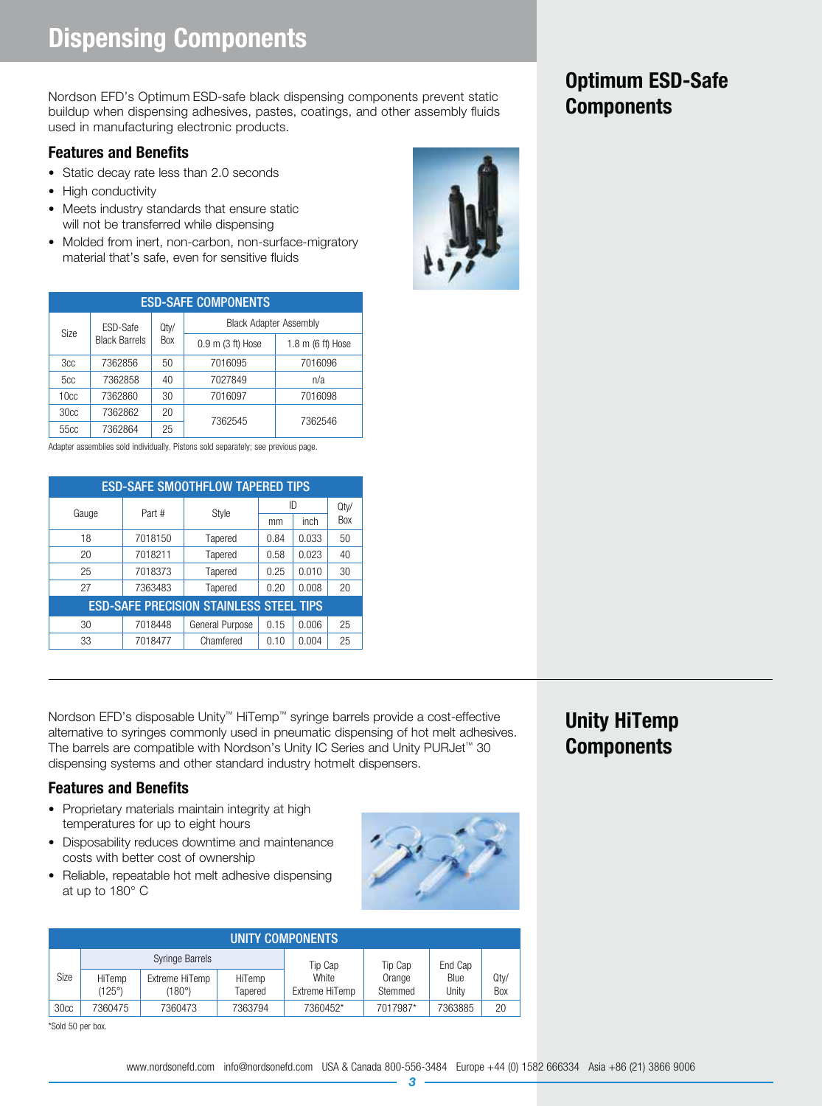Nordson EFD's Optimum ESD-safe black dispensing components prevent static<br>buildup when dispensing adhesives, pastes, coatings, and other assembly fluids **Components** used in manufacturing electronic products.

### **Features and Benefits**

- Static decay rate less than 2.0 seconds
- High conductivity
- Meets industry standards that ensure static will not be transferred while dispensing
- Molded from inert, non-carbon, non-surface-migratory material that's safe, even for sensitive fluids

|                  | <b>ESD-SAFE COMPONENTS</b> |            |                               |                   |  |  |  |  |  |  |  |  |  |  |
|------------------|----------------------------|------------|-------------------------------|-------------------|--|--|--|--|--|--|--|--|--|--|
| <b>Size</b>      | ESD-Safe                   | Qty/       | <b>Black Adapter Assembly</b> |                   |  |  |  |  |  |  |  |  |  |  |
|                  | <b>Black Barrels</b>       | <b>Box</b> | $0.9$ m $(3$ ft) Hose         | 1.8 m (6 ft) Hose |  |  |  |  |  |  |  |  |  |  |
| 3cc              | 7362856<br>50              |            | 7016095                       | 7016096           |  |  |  |  |  |  |  |  |  |  |
| 5cc              | 7362858                    | 40         | 7027849                       | n/a               |  |  |  |  |  |  |  |  |  |  |
| 10 <sub>cc</sub> | 7362860                    | 30         | 7016097                       | 7016098           |  |  |  |  |  |  |  |  |  |  |
| 30 <sub>cc</sub> | 7362862                    | 20         | 7362545                       |                   |  |  |  |  |  |  |  |  |  |  |
| 55 <sub>cc</sub> | 7362864                    | 25         |                               | 7362546           |  |  |  |  |  |  |  |  |  |  |

Adapter assemblies sold individually. Pistons sold separately; see previous page.

| <b>ESD-SAFE SMOOTHFLOW TAPERED TIPS</b> |                                                |                 |      |       |      |  |  |  |  |  |  |  |
|-----------------------------------------|------------------------------------------------|-----------------|------|-------|------|--|--|--|--|--|--|--|
| Gauge                                   | Part #                                         | Style           |      | ID    | Qty/ |  |  |  |  |  |  |  |
|                                         |                                                |                 | mm   | inch  | Box  |  |  |  |  |  |  |  |
| 18                                      | 7018150                                        | Tapered         | 0.84 | 0.033 | 50   |  |  |  |  |  |  |  |
| 20                                      | 7018211                                        | Tapered         | 0.58 | 0.023 | 40   |  |  |  |  |  |  |  |
| 25                                      | 7018373                                        | Tapered         | 0.25 | 0.010 | 30   |  |  |  |  |  |  |  |
| 27                                      | 7363483                                        | Tapered         | 0.20 | 0.008 | 20   |  |  |  |  |  |  |  |
|                                         | <b>ESD-SAFE PRECISION STAINLESS STEEL TIPS</b> |                 |      |       |      |  |  |  |  |  |  |  |
| 30                                      | 7018448                                        | General Purpose | 0.15 | 0.006 | 25   |  |  |  |  |  |  |  |
| 33                                      | 7018477                                        | Chamfered       | 0.10 | 0.004 | 25   |  |  |  |  |  |  |  |

Nordson EFD's disposable Unity™ HiTemp™ syringe barrels provide a cost-effective alternative to syringes commonly used in pneumatic dispensing of hot melt adhesives. The barrels are compatible with Nordson's Unity IC Series and Unity PURJet™ 30 dispensing systems and other standard industry hotmelt dispensers.

### **Features and Benefits**

- Proprietary materials maintain integrity at high temperatures for up to eight hours
- Disposability reduces downtime and maintenance costs with better cost of ownership
- Reliable, repeatable hot melt adhesive dispensing at up to 180° C

|                  | UNITY COMPONENTS |                          |                   |                         |                   |               |             |  |  |  |  |  |  |
|------------------|------------------|--------------------------|-------------------|-------------------------|-------------------|---------------|-------------|--|--|--|--|--|--|
|                  |                  | <b>Syringe Barrels</b>   |                   | Tip Cap                 | Tip Cap           | End Cap       |             |  |  |  |  |  |  |
| Size             | HiTemp<br>(125°) | Extreme HiTemp<br>(180°) | HiTemp<br>Tapered | White<br>Extreme HiTemp | Orange<br>Stemmed | Blue<br>Unity | Qty/<br>Box |  |  |  |  |  |  |
| 30 <sub>cc</sub> | 7360475          | 7360473                  | 7363794           | 7360452*                | 7017987*          | 7363885       | 20          |  |  |  |  |  |  |

\*Sold 50 per box.





## **Unity HiTemp Components**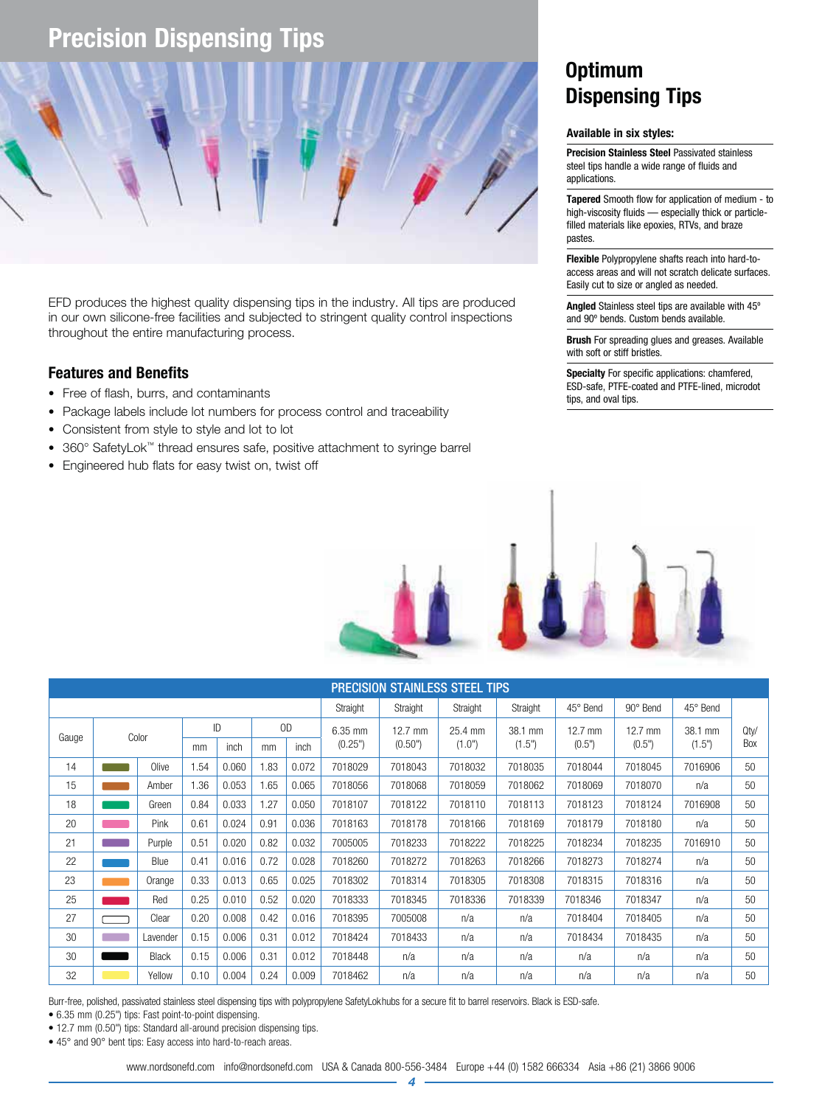## **Precision Dispensing Tips**



EFD produces the highest quality dispensing tips in the industry. All tips are produced in our own silicone-free facilities and subjected to stringent quality control inspections throughout the entire manufacturing process.

#### **Features and Benefits**

- Free of flash, burrs, and contaminants
- Package labels include lot numbers for process control and traceability
- Consistent from style to style and lot to lot
- 360° SafetyLok™ thread ensures safe, positive attachment to syringe barrel
- Engineered hub flats for easy twist on, twist off

## **Optimum Dispensing Tips**

#### **Available in six styles:**

**Precision Stainless Steel** Passivated stainless steel tips handle a wide range of fluids and applications.

**Tapered** Smooth flow for application of medium - to high-viscosity fluids — especially thick or particlefilled materials like epoxies, RTVs, and braze pastes.

**Flexible** Polypropylene shafts reach into hard-toaccess areas and will not scratch delicate surfaces. Easily cut to size or angled as needed.

**Angled** Stainless steel tips are available with 45º and 90º bends. Custom bends available.

**Brush** For spreading glues and greases. Available with soft or stiff bristles.

**Specialty** For specific applications: chamfered, ESD-safe, PTFE-coated and PTFE-lined, microdot tips, and oval tips.



|       | <b>PRECISION STAINLESS STEEL TIPS</b> |              |      |       |      |       |          |                   |          |          |                   |           |          |                 |
|-------|---------------------------------------|--------------|------|-------|------|-------|----------|-------------------|----------|----------|-------------------|-----------|----------|-----------------|
|       |                                       |              |      |       |      |       | Straight | Straight          | Straight | Straight | 45° Bend          | 90° Bend  | 45° Bend |                 |
| Gauge |                                       | Color        |      | ID    |      | OD    | 6.35 mm  | $12.7 \text{ mm}$ | 25.4 mm  | 38.1 mm  | $12.7 \text{ mm}$ | $12.7$ mm | 38.1 mm  | Q <sub>ty</sub> |
|       |                                       |              | mm   | inch  | mm   | inch  | (0.25")  | (0.50")           | (1.0")   | (1.5")   | (0.5")            | (0.5")    | (1.5")   | Box             |
| 14    |                                       | Olive        | 1.54 | 0.060 | 1.83 | 0.072 | 7018029  | 7018043           | 7018032  | 7018035  | 7018044           | 7018045   | 7016906  | 50              |
| 15    |                                       | Amber        | 1.36 | 0.053 | 1.65 | 0.065 | 7018056  | 7018068           | 7018059  | 7018062  | 7018069           | 7018070   | n/a      | 50              |
| 18    |                                       | Green        | 0.84 | 0.033 | 1.27 | 0.050 | 7018107  | 7018122           | 7018110  | 7018113  | 7018123           | 7018124   | 7016908  | 50              |
| 20    |                                       | Pink         | 0.61 | 0.024 | 0.91 | 0.036 | 7018163  | 7018178           | 7018166  | 7018169  | 7018179           | 7018180   | n/a      | 50              |
| 21    |                                       | Purple       | 0.51 | 0.020 | 0.82 | 0.032 | 7005005  | 7018233           | 7018222  | 7018225  | 7018234           | 7018235   | 7016910  | 50              |
| 22    |                                       | Blue         | 0.41 | 0.016 | 0.72 | 0.028 | 7018260  | 7018272           | 7018263  | 7018266  | 7018273           | 7018274   | n/a      | 50              |
| 23    |                                       | Orange       | 0.33 | 0.013 | 0.65 | 0.025 | 7018302  | 7018314           | 7018305  | 7018308  | 7018315           | 7018316   | n/a      | 50              |
| 25    |                                       | Red          | 0.25 | 0.010 | 0.52 | 0.020 | 7018333  | 7018345           | 7018336  | 7018339  | 7018346           | 7018347   | n/a      | 50              |
| 27    |                                       | Clear        | 0.20 | 0.008 | 0.42 | 0.016 | 7018395  | 7005008           | n/a      | n/a      | 7018404           | 7018405   | n/a      | 50              |
| 30    |                                       | Lavender     | 0.15 | 0.006 | 0.31 | 0.012 | 7018424  | 7018433           | n/a      | n/a      | 7018434           | 7018435   | n/a      | 50              |
| 30    |                                       | <b>Black</b> | 0.15 | 0.006 | 0.31 | 0.012 | 7018448  | n/a               | n/a      | n/a      | n/a               | n/a       | n/a      | 50              |
| 32    |                                       | Yellow       | 0.10 | 0.004 | 0.24 | 0.009 | 7018462  | n/a               | n/a      | n/a      | n/a               | n/a       | n/a      | 50              |

Burr-free, polished, passivated stainless steel dispensing tips with polypropylene SafetyLokhubs for a secure fit to barrel reservoirs. Black is ESD-safe.

• 6.35 mm (0.25") tips: Fast point-to-point dispensing.

• 12.7 mm (0.50") tips: Standard all-around precision dispensing tips.

• 45° and 90° bent tips: Easy access into hard-to-reach areas.

www.nordsonefd.com info@nordsonefd.com USA & Canada 800-556-3484 Europe +44 (0) 1582 666334 Asia +86 (21) 3866 9006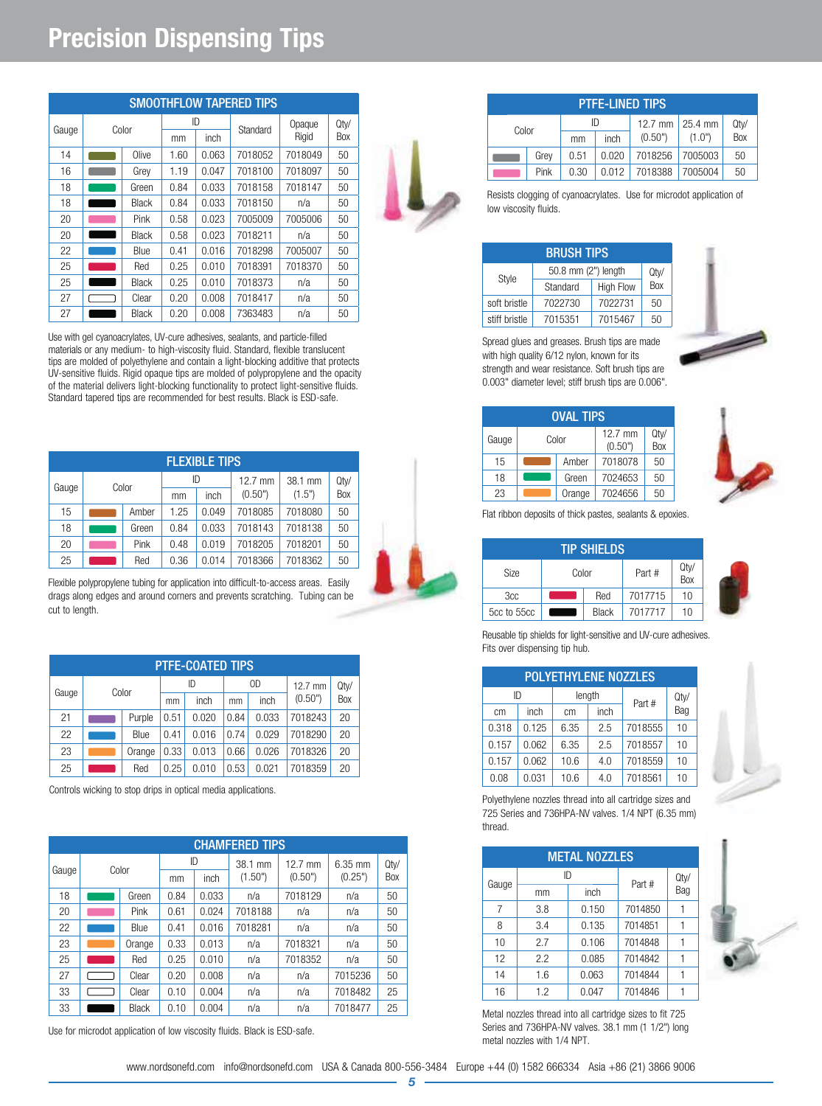## **Precision Dispensing Tips**

|       | <b>SMOOTHFLOW TAPERED TIPS</b> |              |      |       |          |         |         |  |  |
|-------|--------------------------------|--------------|------|-------|----------|---------|---------|--|--|
| Gauge | Color                          |              |      | ID    | Standard | Opaque  | $Q$ ty/ |  |  |
|       |                                |              | mm   | inch  |          | Rigid   | Box     |  |  |
| 14    |                                | Olive        | 1.60 | 0.063 | 7018052  | 7018049 | 50      |  |  |
| 16    |                                | Grey         | 1.19 | 0.047 | 7018100  | 7018097 | 50      |  |  |
| 18    |                                | Green        | 0.84 | 0.033 | 7018158  | 7018147 | 50      |  |  |
| 18    |                                | Black        | 0.84 | 0.033 | 7018150  | n/a     | 50      |  |  |
| 20    |                                | Pink         | 0.58 | 0.023 | 7005009  | 7005006 | 50      |  |  |
| 20    |                                | <b>Black</b> | 0.58 | 0.023 | 7018211  | n/a     | 50      |  |  |
| 22    |                                | Blue         | 0.41 | 0.016 | 7018298  | 7005007 | 50      |  |  |
| 25    |                                | Red          | 0.25 | 0.010 | 7018391  | 7018370 | 50      |  |  |
| 25    |                                | Black        | 0.25 | 0.010 | 7018373  | n/a     | 50      |  |  |
| 27    |                                | Clear        | 0.20 | 0.008 | 7018417  | n/a     | 50      |  |  |
| 27    |                                | Black        | 0.20 | 0.008 | 7363483  | n/a     | 50      |  |  |

Use with gel cyanoacrylates, UV-cure adhesives, sealants, and particle-filled materials or any medium- to high-viscosity fluid. Standard, flexible translucent tips are molded of polyethylene and contain a light-blocking additive that protects UV-sensitive fluids. Rigid opaque tips are molded of polypropylene and the opacity of the material delivers light-blocking functionality to protect light-sensitive fluids. Standard tapered tips are recommended for best results. Black is ESD-safe.

|       | <b>FLEXIBLE TIPS</b> |       |      |       |           |         |      |  |  |  |
|-------|----------------------|-------|------|-------|-----------|---------|------|--|--|--|
|       |                      | Color |      | ID    | $12.7$ mm | 38.1 mm | Qty/ |  |  |  |
| Gauge |                      |       | mm   | inch  | (0.50")   | (1.5")  | Box  |  |  |  |
| 15    |                      | Amber | 1.25 | 0.049 | 7018085   | 7018080 | 50   |  |  |  |
| 18    |                      | Green | 0.84 | 0.033 | 7018143   | 7018138 | 50   |  |  |  |
| 20    |                      | Pink  | 0.48 | 0.019 | 7018205   | 7018201 | 50   |  |  |  |
| 25    |                      | Red   | 0.36 | 0.014 | 7018366   | 7018362 | 50   |  |  |  |

Flexible polypropylene tubing for application into difficult-to-access areas. Easily drags along edges and around corners and prevents scratching. Tubing can be cut to length.

|       | <b>PTFE-COATED TIPS</b> |        |      |       |      |       |           |      |  |  |  |
|-------|-------------------------|--------|------|-------|------|-------|-----------|------|--|--|--|
| Gauge |                         |        | ID   |       | 0D   |       | $12.7$ mm | Qty/ |  |  |  |
|       |                         | Color  |      | inch  | mm   | inch  | (0.50")   | Box  |  |  |  |
| 21    |                         | Purple | 0.51 | 0.020 | 0.84 | 0.033 | 7018243   | 20   |  |  |  |
| 22    |                         | Blue   | 0.41 | 0.016 | 0.74 | 0.029 | 7018290   | 20   |  |  |  |
| 23    |                         | Orange | 0.33 | 0.013 | 0.66 | 0.026 | 7018326   | 20   |  |  |  |
| 25    |                         | Red    | 0.25 | 0.010 | 0.53 | 0.021 | 7018359   | 20   |  |  |  |

Controls wicking to stop drips in optical media applications.

|       |              |                  |       | <b>CHAMFERED TIPS</b> |                              |                      |             |
|-------|--------------|------------------|-------|-----------------------|------------------------------|----------------------|-------------|
| Gauge | Color        | ID<br>inch<br>mm |       | 38.1 mm<br>(1.50")    | $12.7 \text{ mm}$<br>(0.50") | $6.35$ mm<br>(0.25") | Qty/<br>Box |
| 18    | Green        | 0.84             | 0.033 | n/a                   | 7018129                      | n/a                  | 50          |
| 20    | Pink         | 0.61             | 0.024 | 7018188               | n/a                          | n/a                  | 50          |
| 22    | Blue         | 0.41             | 0.016 | 7018281               | n/a                          | n/a                  | 50          |
| 23    | Orange       | 0.33             | 0.013 | n/a                   | 7018321                      | n/a                  | 50          |
| 25    | Red          | 0.25             | 0.010 | n/a                   | 7018352                      | n/a                  | 50          |
| 27    | Clear        | 0.20             | 0.008 | n/a                   | n/a                          | 7015236              | 50          |
| 33    | Clear        | 0.10             | 0.004 | n/a                   | n/a                          | 7018482              | 25          |
| 33    | <b>Black</b> | 0.10             | 0.004 | n/a                   | n/a                          | 7018477              | 25          |

Use for microdot application of low viscosity fluids. Black is ESD-safe.

| <b>PTFE-LINED TIPS</b> |      |         |         |                 |         |             |  |
|------------------------|------|---------|---------|-----------------|---------|-------------|--|
| Color                  |      | ID      |         | 12.7 mm 25.4 mm |         | Qty/<br>Box |  |
|                        |      | mm      | inch    | (0.50")         | (1.0")  |             |  |
|                        | Grev | 0.51    | 0.020   | 7018256         | 7005003 | 50          |  |
| Pink<br>0.012<br>0.30  |      | 7018388 | 7005004 | 50              |         |             |  |

Resists clogging of cyanoacrylates. Use for microdot application of low viscosity fluids.

|               | <b>BRUSH TIPS</b>            |         |      |
|---------------|------------------------------|---------|------|
| Style         | 50.8 mm (2") length          |         | Qty/ |
|               | <b>High Flow</b><br>Standard |         | Box  |
| soft bristle  | 7022730                      | 7022731 | 50   |
| stiff bristle | 7015351                      | 7015467 | 50   |



Spread glues and greases. Brush tips are made with high quality 6/12 nylon, known for its strength and wear resistance. Soft brush tips are 0.003" diameter level; stiff brush tips are 0.006".

| <b>OVAL TIPS</b> |  |        |                      |             |  |  |  |  |
|------------------|--|--------|----------------------|-------------|--|--|--|--|
| Gauge            |  | Color  | $12.7$ mm<br>(0.50") | Qty/<br>Box |  |  |  |  |
| 15               |  | Amber  | 7018078              | 50          |  |  |  |  |
| 18               |  | Green  | 7024653              | 50          |  |  |  |  |
| 23               |  | Orange | 7024656              | 50          |  |  |  |  |



Flat ribbon deposits of thick pastes, sealants & epoxies.

| TIP SHIELDS |       |              |         |             |  |  |  |
|-------------|-------|--------------|---------|-------------|--|--|--|
| <b>Size</b> | Color |              | Part #  | Qty/<br>Box |  |  |  |
| 3cc         |       | Red          | 7017715 | 10          |  |  |  |
| 5cc to 55cc |       | <b>Black</b> | 7017717 | 10          |  |  |  |



Reusable tip shields for light-sensitive and UV-cure adhesives. Fits over dispensing tip hub.

| <b>POLYETHYLENE NOZZLES</b> |       |      |      |         |      |  |  |
|-----------------------------|-------|------|------|---------|------|--|--|
| length<br>ID                |       |      |      | Part #  | Qty/ |  |  |
| cm                          | inch  | cm   | inch |         | Bag  |  |  |
| 0.318                       | 0.125 | 6.35 | 2.5  | 7018555 | 10   |  |  |
| 0.157                       | 0.062 | 6.35 | 2.5  | 7018557 | 10   |  |  |
| 0.157                       | 0.062 | 10.6 | 4.0  | 7018559 | 10   |  |  |
| 0.08                        | 0.031 | 10.6 | 4.0  | 7018561 | 10   |  |  |



Polyethylene nozzles thread into all cartridge sizes and 725 Series and 736HPA-NV valves. 1/4 NPT (6.35 mm) thread.

|       |     | <b>METAL NOZZLES</b> |         |      |
|-------|-----|----------------------|---------|------|
| Gauge | ID  |                      | Part #  | Qty/ |
|       | mm  | inch                 |         | Bag  |
| 7     | 3.8 | 0.150                | 7014850 |      |
| 8     | 3.4 | 0.135                | 7014851 | 1    |
| 10    | 2.7 | 0.106                | 7014848 |      |
| 12    | 2.2 | 0.085                | 7014842 |      |
| 14    | 1.6 | 0.063                | 7014844 |      |
| 16    | 1.2 | 0.047                | 7014846 |      |

Metal nozzles thread into all cartridge sizes to fit 725 Series and 736HPA-NV valves. 38.1 mm (1 1/2") long metal nozzles with 1/4 NPT.



|      | $0.157$ 0.062 6.35          |                 | 2.5                | 70  |
|------|-----------------------------|-----------------|--------------------|-----|
|      | $0.157$ 0.062 10.6          |                 | 4.0                | 70  |
| n no | $\cap$ $\cap$ $\cap$ $\cap$ | 10 <sub>6</sub> | $\Lambda$ $\Omega$ | -70 |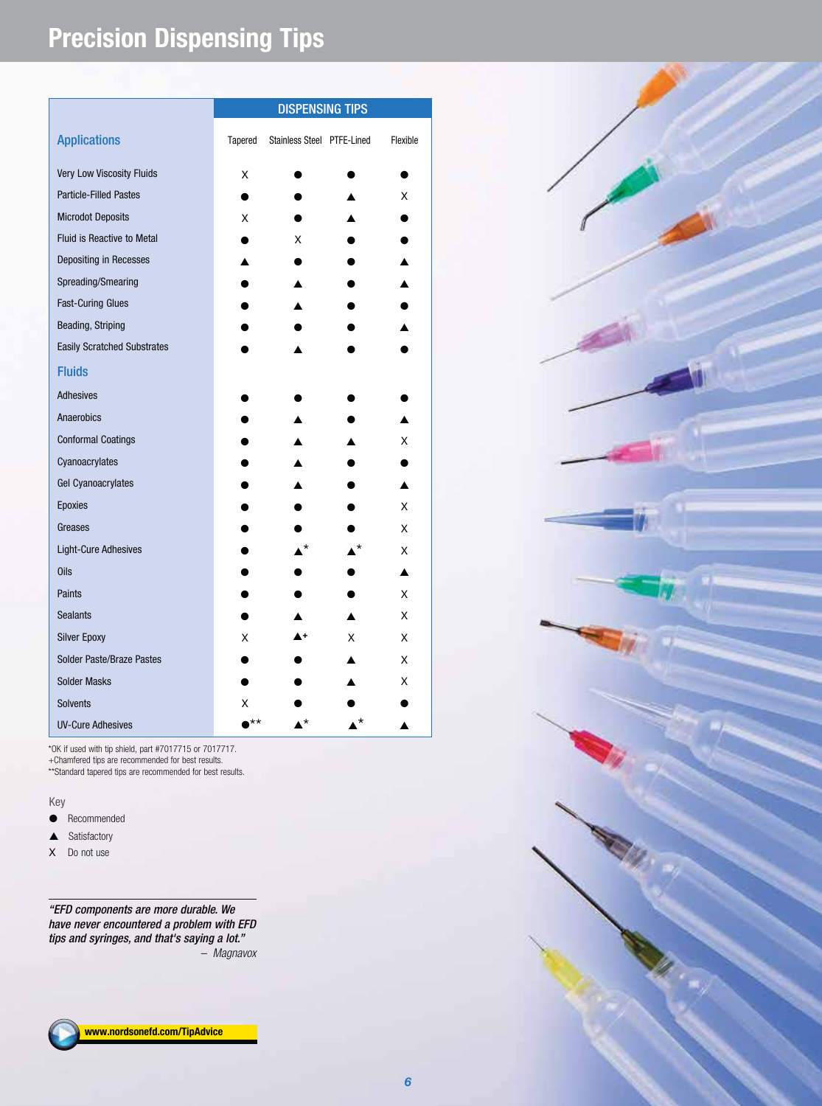## **Precision Dispensing Tips**

|                                    |    | <b>DISPENSING TIPS</b><br>Tapered<br>Stainless Steel PTFE-Lined<br>Flexible |   |   |
|------------------------------------|----|-----------------------------------------------------------------------------|---|---|
| <b>Applications</b>                |    |                                                                             |   |   |
| Very Low Viscosity Fluids          | Χ  |                                                                             |   |   |
| <b>Particle-Filled Pastes</b>      |    |                                                                             |   | X |
| <b>Microdot Deposits</b>           | X  |                                                                             |   |   |
| <b>Fluid is Reactive to Metal</b>  |    | X                                                                           |   |   |
| Depositing in Recesses             |    |                                                                             |   |   |
| Spreading/Smearing                 |    |                                                                             |   |   |
| <b>Fast-Curing Glues</b>           |    |                                                                             |   |   |
| Beading, Striping                  |    |                                                                             |   |   |
| <b>Easily Scratched Substrates</b> |    |                                                                             |   |   |
| <b>Fluids</b>                      |    |                                                                             |   |   |
| <b>Adhesives</b>                   |    |                                                                             |   |   |
| Anaerobics                         |    |                                                                             |   |   |
| <b>Conformal Coatings</b>          |    |                                                                             |   | X |
| Cyanoacrylates                     |    |                                                                             |   |   |
| <b>Gel Cyanoacrylates</b>          |    |                                                                             |   |   |
| Epoxies                            |    |                                                                             |   | X |
| Greases                            |    |                                                                             |   | X |
| <b>Light-Cure Adhesives</b>        |    |                                                                             |   | X |
| <b>Oils</b>                        |    |                                                                             |   |   |
| Paints                             |    |                                                                             |   | X |
| <b>Sealants</b>                    |    |                                                                             |   | X |
| <b>Silver Epoxy</b>                | X  |                                                                             | X | X |
| Solder Paste/Braze Pastes          |    |                                                                             |   | X |
| <b>Solder Masks</b>                |    |                                                                             |   | X |
| <b>Solvents</b>                    | x  |                                                                             |   |   |
| <b>UV-Cure Adhesives</b>           | ** | •*                                                                          |   |   |

\*OK if used with tip shield, part #7017715 or 7017717. +Chamfered tips are recommended for best results. \*\*Standard tapered tips are recommended for best results.

#### Key

O Recommended

- $\triangle$  Satisfactory
- X Do not use

"EFD components are more durable. We have never encountered a problem with EFD tips and syringes, and that's saying a lot." – Magnavox



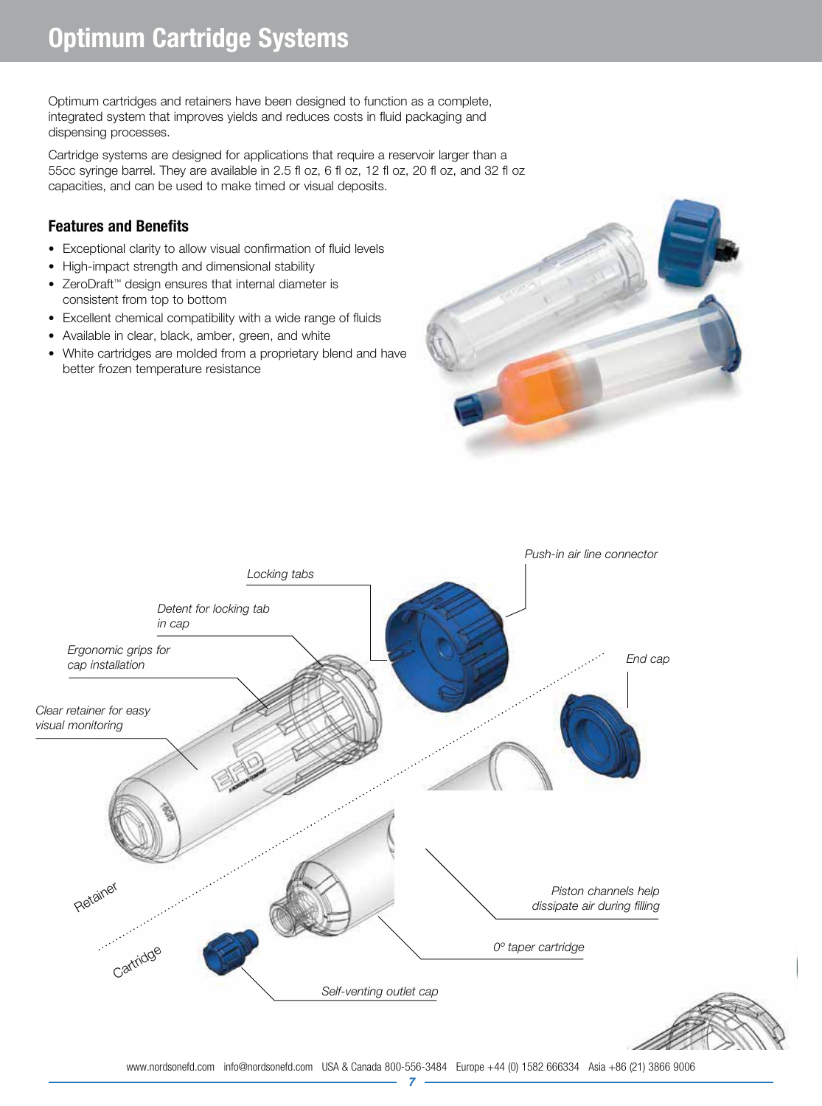Optimum cartridges and retainers have been designed to function as a complete, integrated system that improves yields and reduces costs in fluid packaging and dispensing processes.

Cartridge systems are designed for applications that require a reservoir larger than a 55cc syringe barrel. They are available in 2.5 fl oz, 6 fl oz, 12 fl oz, 20 fl oz, and 32 fl oz capacities, and can be used to make timed or visual deposits.

#### **Features and Benefits**

- Exceptional clarity to allow visual confirmation of fluid levels
- High-impact strength and dimensional stability
- ZeroDraft™ design ensures that internal diameter is consistent from top to bottom
- Excellent chemical compatibility with a wide range of fluids
- Available in clear, black, amber, green, and white
- White cartridges are molded from a proprietary blend and have better frozen temperature resistance



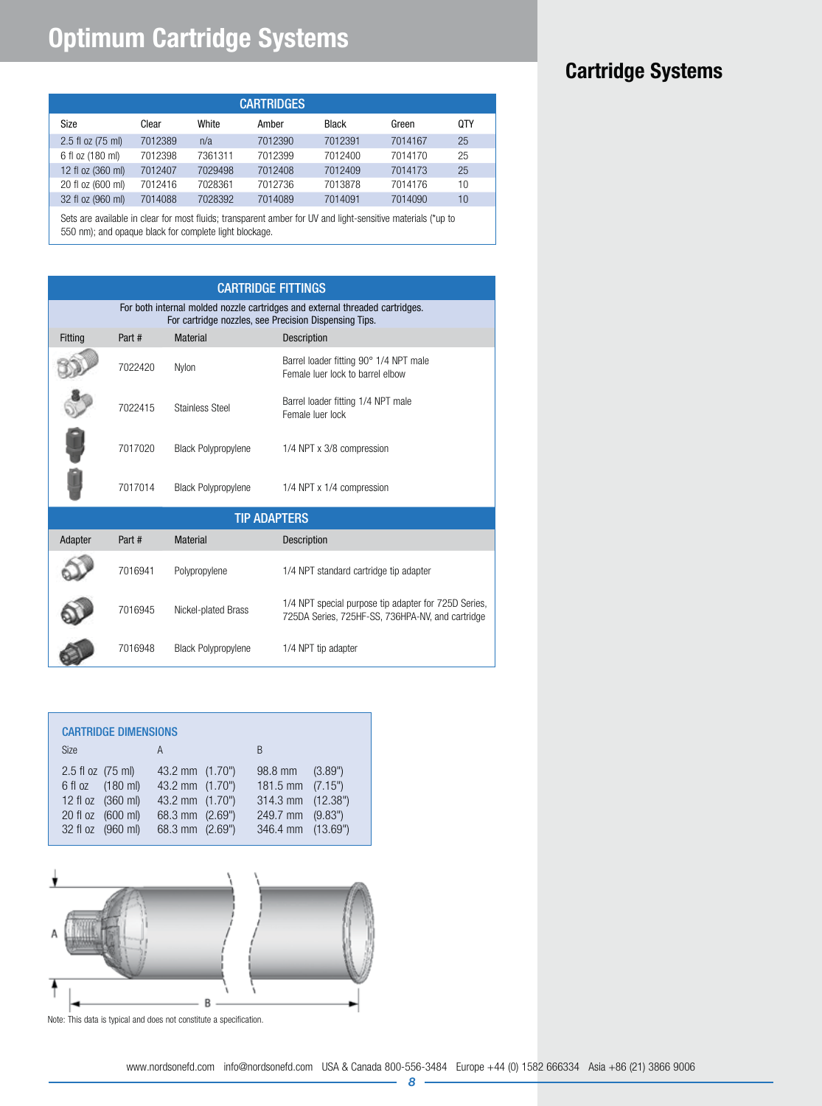## **Optimum Cartridge Systems**

|                   |         |         | <b>CARTRIDGES</b> |         |         |     |
|-------------------|---------|---------|-------------------|---------|---------|-----|
| Size              | Clear   | White   | Amber             | Black   | Green   | 0TY |
|                   |         |         |                   |         |         |     |
| 2.5 fl oz (75 ml) | 7012389 | n/a     | 7012390           | 7012391 | 7014167 | 25  |
| 6 fl oz (180 ml)  | 7012398 | 7361311 | 7012399           | 7012400 | 7014170 | 25  |
| 12 fl oz (360 ml) | 7012407 | 7029498 | 7012408           | 7012409 | 7014173 | 25  |
| 20 fl oz (600 ml) | 7012416 | 7028361 | 7012736           | 7013878 | 7014176 | 10  |
| 32 fl oz (960 ml) | 7014088 | 7028392 | 7014089           | 7014091 | 7014090 | 10  |
|                   |         |         |                   |         |         |     |

Sets are available in clear for most fluids; transparent amber for UV and light-sensitive materials (\*up to 550 nm); and opaque black for complete light blockage.

| <b>CARTRIDGE FITTINGS</b> |                                                                                                                                       |                            |                                                                                                          |  |  |
|---------------------------|---------------------------------------------------------------------------------------------------------------------------------------|----------------------------|----------------------------------------------------------------------------------------------------------|--|--|
|                           | For both internal molded nozzle cartridges and external threaded cartridges.<br>For cartridge nozzles, see Precision Dispensing Tips. |                            |                                                                                                          |  |  |
| Fitting                   | Part #                                                                                                                                | <b>Material</b>            | Description                                                                                              |  |  |
|                           | 7022420                                                                                                                               | Nylon                      | Barrel loader fitting 90° 1/4 NPT male<br>Female luer lock to barrel elbow                               |  |  |
|                           | 7022415                                                                                                                               | Stainless Steel            | Barrel loader fitting 1/4 NPT male<br>Female luer lock                                                   |  |  |
|                           | 7017020                                                                                                                               | <b>Black Polypropylene</b> | 1/4 NPT x 3/8 compression                                                                                |  |  |
|                           | 7017014                                                                                                                               | <b>Black Polypropylene</b> | 1/4 NPT x 1/4 compression                                                                                |  |  |
|                           |                                                                                                                                       |                            | <b>TIP ADAPTERS</b>                                                                                      |  |  |
| Adapter                   | Part #                                                                                                                                | <b>Material</b>            | <b>Description</b>                                                                                       |  |  |
|                           | 7016941                                                                                                                               | Polypropylene              | 1/4 NPT standard cartridge tip adapter                                                                   |  |  |
|                           | 7016945                                                                                                                               | Nickel-plated Brass        | 1/4 NPT special purpose tip adapter for 725D Series,<br>725DA Series, 725HF-SS, 736HPA-NV, and cartridge |  |  |
|                           | 7016948                                                                                                                               | <b>Black Polypropylene</b> | 1/4 NPT tip adapter                                                                                      |  |  |

|                   | <b>CARTRIDGE DIMENSIONS</b>                                                     |                                                                                             |                                                                                     |                    |
|-------------------|---------------------------------------------------------------------------------|---------------------------------------------------------------------------------------------|-------------------------------------------------------------------------------------|--------------------|
| <b>Size</b>       |                                                                                 | A                                                                                           | B                                                                                   |                    |
| 2.5 fl oz (75 ml) | 6 fl oz (180 ml)<br>12 fl oz (360 ml)<br>20 fl oz (600 ml)<br>32 fl oz (960 ml) | 43.2 mm (1.70")<br>43.2 mm (1.70")<br>43.2 mm (1.70")<br>68.3 mm (2.69")<br>68.3 mm (2.69") | 98.8 mm<br>181.5 mm $(7.15")$<br>314.3 mm (12.38")<br>249.7 mm<br>346.4 mm (13.69") | (3.89")<br>(9.83") |



Note: This data is typical and does not constitute a specification.

## **Cartridge Systems**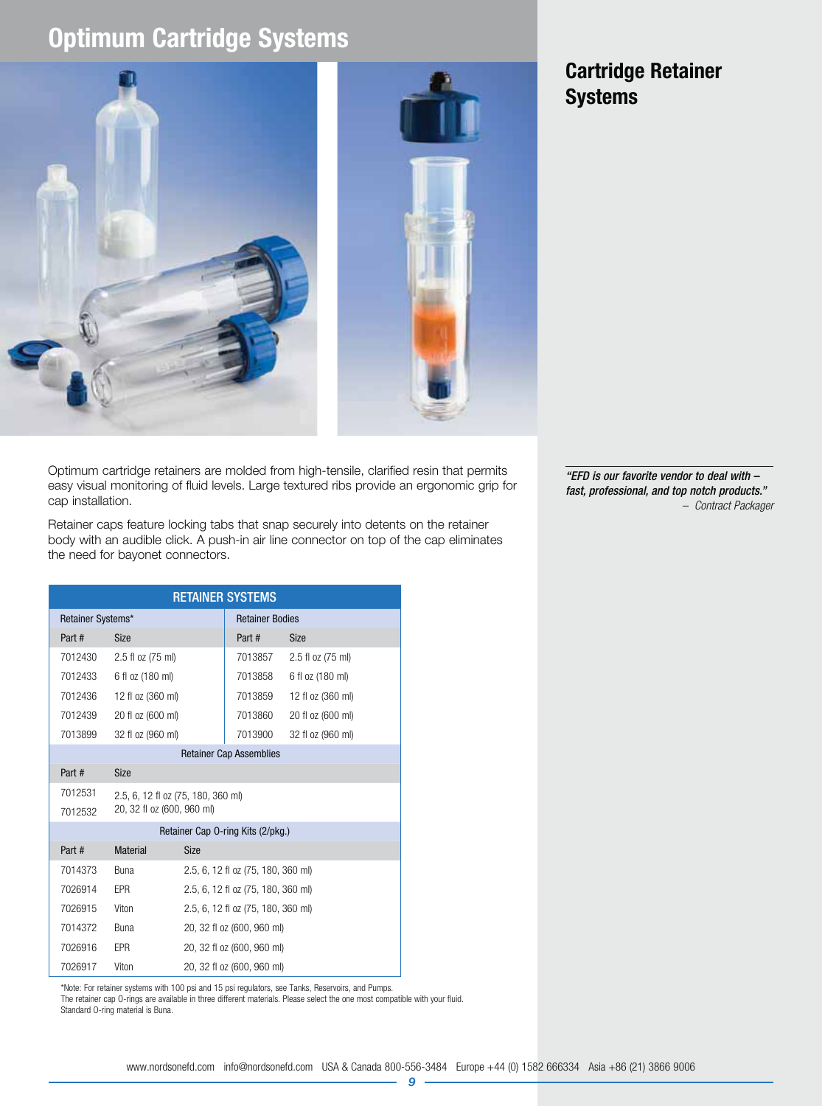## **Optimum Cartridge Systems**





### **Cartridge Retainer Systems**

Optimum cartridge retainers are molded from high-tensile, clarified resin that permits easy visual monitoring of fluid levels. Large textured ribs provide an ergonomic grip for cap installation.

Retainer caps feature locking tabs that snap securely into detents on the retainer body with an audible click. A push-in air line connector on top of the cap eliminates the need for bayonet connectors.

| <b>RETAINER SYSTEMS</b>        |                                    |                                    |                                   |                   |  |
|--------------------------------|------------------------------------|------------------------------------|-----------------------------------|-------------------|--|
| Retainer Systems*              |                                    |                                    | <b>Retainer Bodies</b>            |                   |  |
| Part #                         | <b>Size</b>                        |                                    | Part #                            | <b>Size</b>       |  |
| 7012430                        | 2.5 fl oz (75 ml)                  |                                    | 7013857                           | 2.5 fl oz (75 ml) |  |
| 7012433                        | 6 fl oz (180 ml)                   |                                    | 7013858                           | 6 fl oz (180 ml)  |  |
| 7012436                        | 12 fl oz (360 ml)                  |                                    | 7013859                           | 12 fl oz (360 ml) |  |
| 7012439                        | 20 fl oz (600 ml)                  |                                    | 7013860                           | 20 fl oz (600 ml) |  |
| 7013899                        | 32 fl oz (960 ml)                  |                                    | 7013900                           | 32 fl oz (960 ml) |  |
| <b>Retainer Cap Assemblies</b> |                                    |                                    |                                   |                   |  |
| Part #                         | <b>Size</b>                        |                                    |                                   |                   |  |
| 7012531                        | 2.5, 6, 12 fl oz (75, 180, 360 ml) |                                    |                                   |                   |  |
| 7012532                        | 20, 32 fl oz (600, 960 ml)         |                                    |                                   |                   |  |
|                                |                                    |                                    | Retainer Cap 0-ring Kits (2/pkg.) |                   |  |
| Part #                         | <b>Material</b>                    | <b>Size</b>                        |                                   |                   |  |
| 7014373                        | <b>Buna</b>                        | 2.5, 6, 12 fl oz (75, 180, 360 ml) |                                   |                   |  |
| 7026914                        | <b>EPR</b>                         | 2.5, 6, 12 fl oz (75, 180, 360 ml) |                                   |                   |  |
| 7026915                        | Viton                              | 2.5, 6, 12 fl oz (75, 180, 360 ml) |                                   |                   |  |
| 7014372                        | <b>Buna</b>                        | 20, 32 fl oz (600, 960 ml)         |                                   |                   |  |
| 7026916                        | <b>EPR</b>                         | 20, 32 fl oz (600, 960 ml)         |                                   |                   |  |
| 7026917                        | Viton                              | 20, 32 fl oz (600, 960 ml)         |                                   |                   |  |

\*Note: For retainer systems with 100 psi and 15 psi regulators, see Tanks, Reservoirs, and Pumps.

The retainer cap O-rings are available in three different materials. Please select the one most compatible with your fluid. Standard O-ring material is Buna.

"EFD is our favorite vendor to deal with – fast, professional, and top notch products." – Contract Packager

9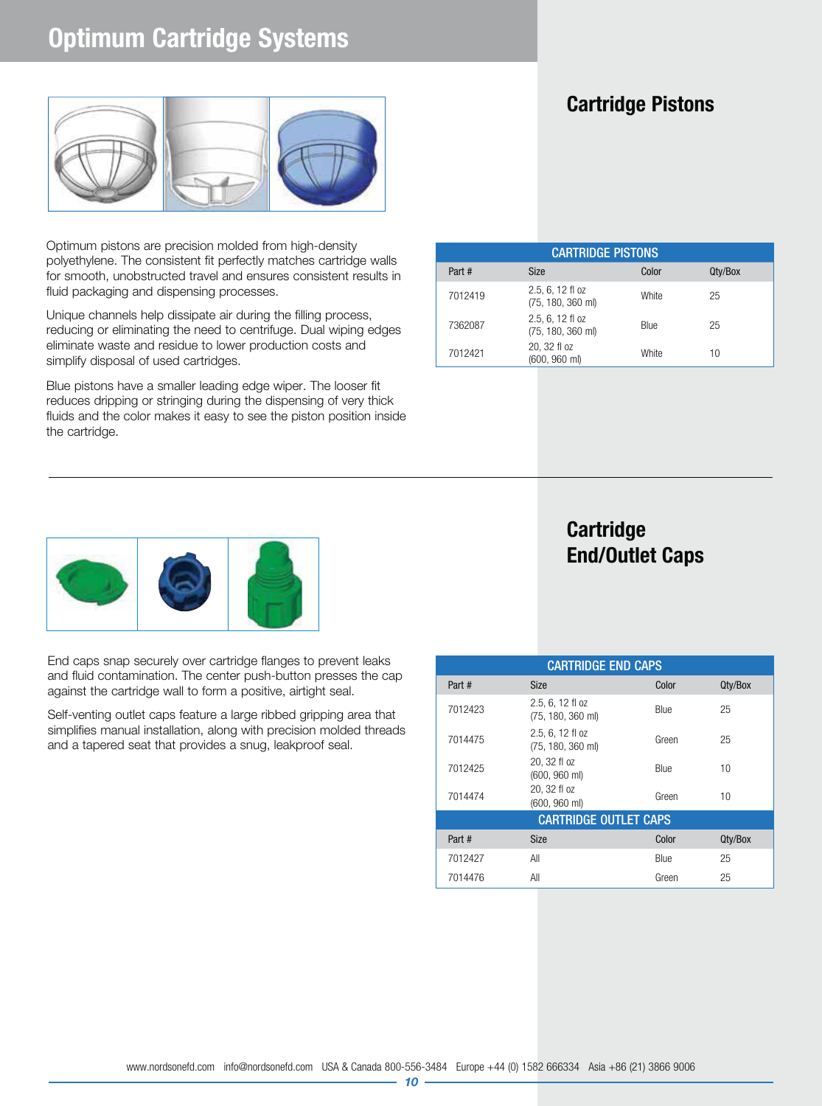## **Optimum Cartridge Systems**



Optimum pistons are precision molded from high-density polyethylene. The consistent fit perfectly matches cartridge walls for smooth, unobstructed travel and ensures consistent results in fluid packaging and dispensing processes.

Unique channels help dissipate air during the filling process, reducing or eliminating the need to centrifuge. Dual wiping edges eliminate waste and residue to lower production costs and simplify disposal of used cartridges.

Blue pistons have a smaller leading edge wiper. The looser fit reduces dripping or stringing during the dispensing of very thick fluids and the color makes it easy to see the piston position inside the cartridge.

### **Cartridge Pistons**

| <b>CARTRIDGE PISTONS</b> |                                                 |       |         |  |
|--------------------------|-------------------------------------------------|-------|---------|--|
| Part #                   | <b>Size</b>                                     | Color | Qty/Box |  |
| 7012419                  | 2.5, 6, 12 fl oz<br>$(75, 180, 360 \text{ ml})$ | White | 25      |  |
| 7362087                  | 2.5, 6, 12 fl oz<br>(75, 180, 360 ml)           | Blue  | 25      |  |
| 7012421                  | 20, 32 fl oz<br>(600, 960 ml)                   | White | 10      |  |



End caps snap securely over cartridge flanges to prevent leaks and fluid contamination. The center push-button presses the cap against the cartridge wall to form a positive, airtight seal.

Self-venting outlet caps feature a large ribbed gripping area that simplifies manual installation, along with precision molded threads and a tapered seat that provides a snug, leakproof seal.

### **Cartridge End/Outlet Caps**

| <b>CARTRIDGE END CAPS</b>    |                                                 |       |         |  |
|------------------------------|-------------------------------------------------|-------|---------|--|
| Part #                       | <b>Size</b>                                     | Color | Qty/Box |  |
| 7012423                      | 2.5, 6, 12 fl oz<br>(75, 180, 360 ml)           | Blue  | 25      |  |
| 7014475                      | 2.5, 6, 12 fl oz<br>$(75, 180, 360 \text{ ml})$ | Green | 25      |  |
| 7012425                      | 20, 32 fl oz<br>(600, 960 ml)                   | Blue  | 10      |  |
| 7014474                      | 20, 32 fl oz<br>$(600, 960$ ml)                 | Green | 10      |  |
| <b>CARTRIDGE OUTLET CAPS</b> |                                                 |       |         |  |
| Part #                       | <b>Size</b>                                     | Color | Qty/Box |  |
| 7012427                      | All                                             | Blue  | 25      |  |
| 7014476                      | All                                             | Green | 25      |  |